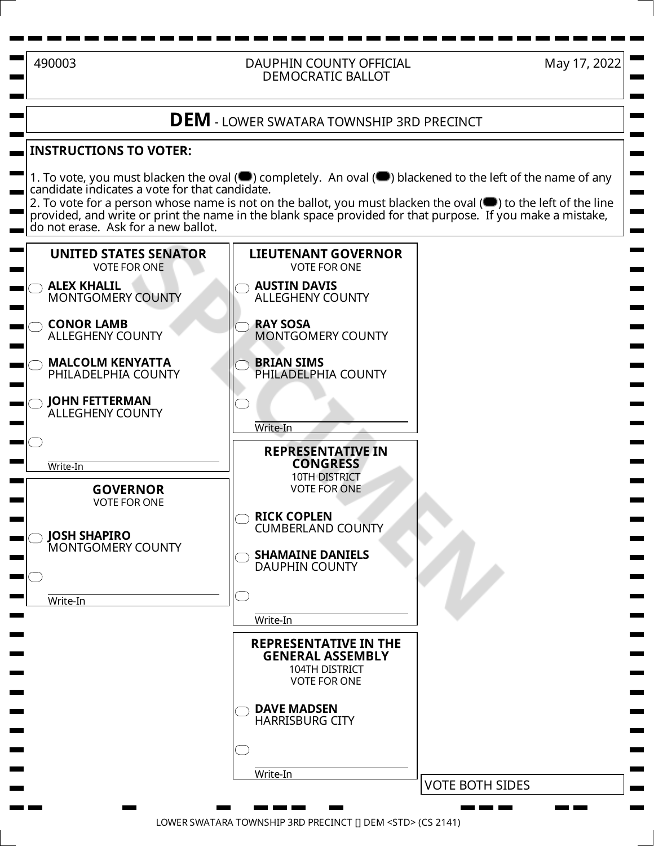## 490003 DAUPHIN COUNTY OFFICIAL DEMOCRATIC BALLOT

May 17, 2022

## **DEM** - LOWER SWATARA TOWNSHIP 3RD PRECINCT

## **INSTRUCTIONS TO VOTER:**

1. To vote, you must blacken the oval ( $\blacksquare$ ) completely. An oval ( $\blacksquare$ ) blackened to the left of the name of any candidate indicates a vote for that candidate.

2. To vote for a person whose name is not on the ballot, you must blacken the oval ( $\blacksquare$ ) to the left of the line provided, and write or print the name in the blank space provided for that purpose. If you make a mistake, do not erase. Ask for a new ballot.

| <b>UNITED STATES SENATOR</b><br><b>VOTE FOR ONE</b> | <b>LIEUTENANT GOVERNOR</b><br><b>VOTE FOR ONE</b>                                                  |                        |
|-----------------------------------------------------|----------------------------------------------------------------------------------------------------|------------------------|
| <b>ALEX KHALIL</b><br><b>MONTGOMERY COUNTY</b>      | <b>AUSTIN DAVIS</b><br><b>ALLEGHENY COUNTY</b>                                                     |                        |
| <b>CONOR LAMB</b><br><b>ALLEGHENY COUNTY</b>        | <b>RAY SOSA</b><br><b>MONTGOMERY COUNTY</b>                                                        |                        |
| <b>MALCOLM KENYATTA</b><br>PHILADELPHIA COUNTY      | <b>BRIAN SIMS</b><br>PHILADELPHIA COUNTY                                                           |                        |
| <b>JOHN FETTERMAN</b><br>ALLEGHENY COUNTY           |                                                                                                    |                        |
|                                                     | Write-In                                                                                           |                        |
|                                                     | <b>REPRESENTATIVE IN</b>                                                                           |                        |
| Write-In                                            | <b>CONGRESS</b>                                                                                    |                        |
| <b>GOVERNOR</b>                                     | 10TH DISTRICT<br><b>VOTE FOR ONE</b>                                                               |                        |
| <b>VOTE FOR ONE</b>                                 |                                                                                                    |                        |
| <b>JOSH SHAPIRO</b><br>MONTGOMERY COUNTY            | <b>RICK COPLEN</b><br><b>CUMBERLAND COUNTY</b><br><b>SHAMAINE DANIELS</b><br><b>DAUPHIN COUNTY</b> |                        |
|                                                     |                                                                                                    |                        |
| Write-In                                            | Write-In                                                                                           |                        |
|                                                     | <b>REPRESENTATIVE IN THE</b><br><b>GENERAL ASSEMBLY</b><br>104TH DISTRICT<br><b>VOTE FOR ONE</b>   |                        |
|                                                     | <b>DAVE MADSEN</b><br><b>HARRISBURG CITY</b>                                                       |                        |
|                                                     | Write-In                                                                                           |                        |
|                                                     |                                                                                                    | <b>VOTE BOTH SIDES</b> |
|                                                     |                                                                                                    |                        |